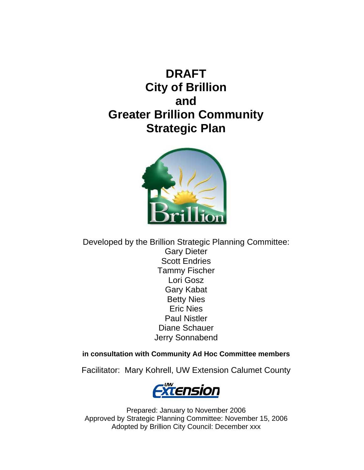# **DRAFT City of Brillion and Greater Brillion Community Strategic Plan**



Developed by the Brillion Strategic Planning Committee: Gary Dieter Scott Endries Tammy Fischer Lori Gosz Gary Kabat Betty Nies Eric Nies Paul Nistler Diane Schauer Jerry Sonnabend

# **in consultation with Community Ad Hoc Committee members**

Facilitator: Mary Kohrell, UW Extension Calumet County



Prepared: January to November 2006 Approved by Strategic Planning Committee: November 15, 2006 Adopted by Brillion City Council: December xxx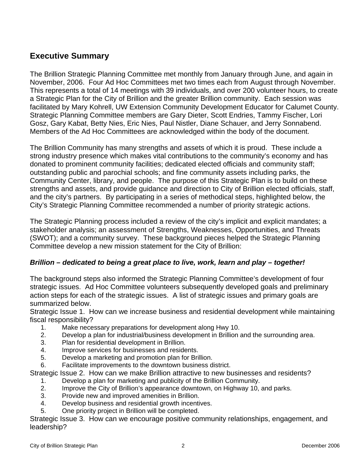# **Executive Summary**

The Brillion Strategic Planning Committee met monthly from January through June, and again in November, 2006. Four Ad Hoc Committees met two times each from August through November. This represents a total of 14 meetings with 39 individuals, and over 200 volunteer hours, to create a Strategic Plan for the City of Brillion and the greater Brillion community. Each session was facilitated by Mary Kohrell, UW Extension Community Development Educator for Calumet County. Strategic Planning Committee members are Gary Dieter, Scott Endries, Tammy Fischer, Lori Gosz, Gary Kabat, Betty Nies, Eric Nies, Paul Nistler, Diane Schauer, and Jerry Sonnabend. Members of the Ad Hoc Committees are acknowledged within the body of the document.

The Brillion Community has many strengths and assets of which it is proud. These include a strong industry presence which makes vital contributions to the community's economy and has donated to prominent community facilities; dedicated elected officials and community staff; outstanding public and parochial schools; and fine community assets including parks, the Community Center, library, and people. The purpose of this Strategic Plan is to build on these strengths and assets, and provide guidance and direction to City of Brillion elected officials, staff, and the city's partners. By participating in a series of methodical steps, highlighted below, the City's Strategic Planning Committee recommended a number of priority strategic actions.

The Strategic Planning process included a review of the city's implicit and explicit mandates; a stakeholder analysis; an assessment of Strengths, Weaknesses, Opportunities, and Threats (SWOT); and a community survey. These background pieces helped the Strategic Planning Committee develop a new mission statement for the City of Brillion:

# *Brillion – dedicated to being a great place to live, work, learn and play – together!*

The background steps also informed the Strategic Planning Committee's development of four strategic issues. Ad Hoc Committee volunteers subsequently developed goals and preliminary action steps for each of the strategic issues. A list of strategic issues and primary goals are summarized below.

Strategic Issue 1. How can we increase business and residential development while maintaining fiscal responsibility?

- 1. Make necessary preparations for development along Hwy 10.
- 2. Develop a plan for industrial/business development in Brillion and the surrounding area.
- 3. Plan for residential development in Brillion.
- 4. Improve services for businesses and residents.
- 5. Develop a marketing and promotion plan for Brillion.
- 6. Facilitate improvements to the downtown business district.

Strategic Issue 2. How can we make Brillion attractive to new businesses and residents?

- 1. Develop a plan for marketing and publicity of the Brillion Community.
- 2. Improve the City of Brillion's appearance downtown, on Highway 10, and parks.
- 3. Provide new and improved amenities in Brillion.
- 4. Develop business and residential growth incentives.
- 5. One priority project in Brillion will be completed.

Strategic Issue 3. How can we encourage positive community relationships, engagement, and leadership?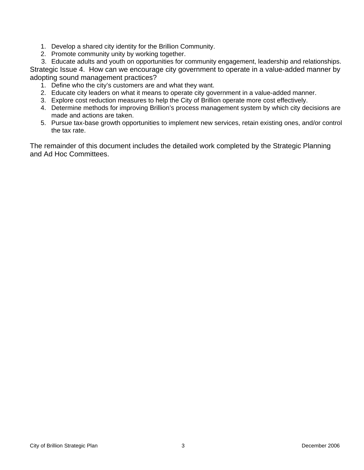- 1. Develop a shared city identity for the Brillion Community.
- 2. Promote community unity by working together.

3. Educate adults and youth on opportunities for community engagement, leadership and relationships. Strategic Issue 4. How can we encourage city government to operate in a value-added manner by adopting sound management practices?

- 1. Define who the city's customers are and what they want.
- 2. Educate city leaders on what it means to operate city government in a value-added manner.
- 3. Explore cost reduction measures to help the City of Brillion operate more cost effectively.
- 4. Determine methods for improving Brillion's process management system by which city decisions are made and actions are taken.
- 5. Pursue tax-base growth opportunities to implement new services, retain existing ones, and/or control the tax rate.

The remainder of this document includes the detailed work completed by the Strategic Planning and Ad Hoc Committees.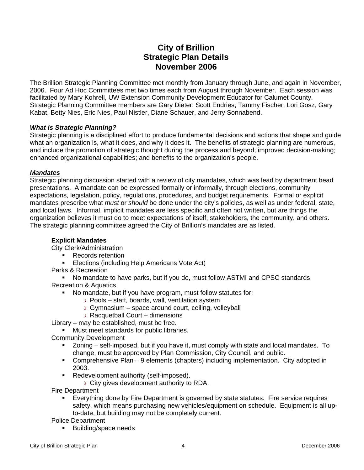# **City of Brillion Strategic Plan Details November 2006**

The Brillion Strategic Planning Committee met monthly from January through June, and again in November, 2006. Four Ad Hoc Committees met two times each from August through November. Each session was facilitated by Mary Kohrell, UW Extension Community Development Educator for Calumet County. Strategic Planning Committee members are Gary Dieter, Scott Endries, Tammy Fischer, Lori Gosz, Gary Kabat, Betty Nies, Eric Nies, Paul Nistler, Diane Schauer, and Jerry Sonnabend.

# *What is Strategic Planning?*

Strategic planning is a disciplined effort to produce fundamental decisions and actions that shape and guide what an organization is, what it does, and why it does it. The benefits of strategic planning are numerous, and include the promotion of strategic thought during the process and beyond; improved decision-making; enhanced organizational capabilities; and benefits to the organization's people.

#### *Mandates*

Strategic planning discussion started with a review of city mandates, which was lead by department head presentations. A mandate can be expressed formally or informally, through elections, community expectations, legislation, policy, regulations, procedures, and budget requirements. Formal or explicit mandates prescribe what *must* or *should* be done under the city's policies, as well as under federal, state, and local laws. Informal, implicit mandates are less specific and often not written, but are things the organization believes it must do to meet expectations of itself, stakeholders, the community, and others. The strategic planning committee agreed the City of Brillion's mandates are as listed.

# **Explicit Mandates**

City Clerk/Administration

- Records retention
- **Elections (including Help Americans Vote Act)**
- Parks & Recreation

 No mandate to have parks, but if you do, must follow ASTMI and CPSC standards. Recreation & Aquatics

- No mandate, but if you have program, must follow statutes for:
	- Pools staff, boards, wall, ventilation system
	- Gymnasium space around court, ceiling, volleyball
	- Racquetball Court dimensions

Library – may be established, must be free.

- **Must meet standards for public libraries.**
- Community Development
	- Zoning self-imposed, but if you have it, must comply with state and local mandates. To change, must be approved by Plan Commission, City Council, and public.
	- Comprehensive Plan 9 elements (chapters) including implementation. City adopted in 2003.
	- **Redevelopment authority (self-imposed).** 
		- City gives development authority to RDA.

Fire Department

 Everything done by Fire Department is governed by state statutes. Fire service requires safety, which means purchasing new vehicles/equipment on schedule. Equipment is all upto-date, but building may not be completely current.

Police Department

**Building/space needs**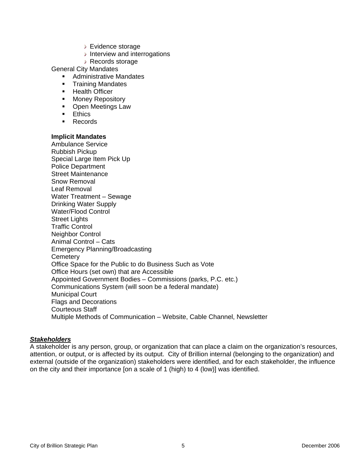- Evidence storage
- $\rightarrow$  Interview and interrogations
- Records storage

General City Mandates

- **Administrative Mandates**
- **Training Mandates**
- **-** Health Officer
- **Money Repository**
- Open Meetings Law
- **Ethics**
- **Records**

### **Implicit Mandates**

Ambulance Service Rubbish Pickup Special Large Item Pick Up Police Department Street Maintenance Snow Removal Leaf Removal Water Treatment – Sewage Drinking Water Supply Water/Flood Control Street Lights Traffic Control Neighbor Control Animal Control – Cats Emergency Planning/Broadcasting **Cemetery** Office Space for the Public to do Business Such as Vote Office Hours (set own) that are Accessible Appointed Government Bodies – Commissions (parks, P.C. etc.) Communications System (will soon be a federal mandate) Municipal Court Flags and Decorations Courteous Staff Multiple Methods of Communication – Website, Cable Channel, Newsletter

#### *Stakeholders*

A stakeholder is any person, group, or organization that can place a claim on the organization's resources, attention, or output, or is affected by its output. City of Brillion internal (belonging to the organization) and external (outside of the organization) stakeholders were identified, and for each stakeholder, the influence on the city and their importance [on a scale of 1 (high) to 4 (low)] was identified.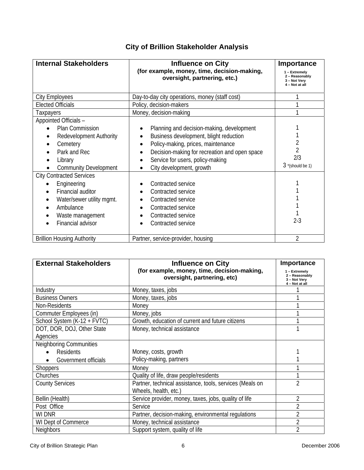| <b>Internal Stakeholders</b>                                                                                                                                                                                                                                 | <b>Influence on City</b><br>(for example, money, time, decision-making,<br>oversight, partnering, etc.)                                                                                                                                                                                                      | Importance<br>1 - Extremely<br>2 - Reasonably<br>3 - Not Very<br>4 – Not at all |
|--------------------------------------------------------------------------------------------------------------------------------------------------------------------------------------------------------------------------------------------------------------|--------------------------------------------------------------------------------------------------------------------------------------------------------------------------------------------------------------------------------------------------------------------------------------------------------------|---------------------------------------------------------------------------------|
| <b>City Employees</b>                                                                                                                                                                                                                                        | Day-to-day city operations, money (staff cost)                                                                                                                                                                                                                                                               |                                                                                 |
| <b>Elected Officials</b>                                                                                                                                                                                                                                     | Policy, decision-makers                                                                                                                                                                                                                                                                                      |                                                                                 |
| Taxpayers                                                                                                                                                                                                                                                    | Money, decision-making                                                                                                                                                                                                                                                                                       |                                                                                 |
| Appointed Officials -<br><b>Plan Commission</b><br><b>Redevelopment Authority</b><br>Cemetery<br>Park and Rec<br>Library<br><b>Community Development</b><br><b>City Contracted Services</b><br>Engineering<br>Financial auditor<br>Water/sewer utility mgmt. | Planning and decision-making, development<br>Business development, blight reduction<br>Policy-making, prices, maintenance<br>Decision-making for recreation and open space<br>Service for users, policy-making<br>City development, growth<br>Contracted service<br>Contracted service<br>Contracted service | 2<br>$\overline{2}$<br>2/3<br>$3$ *(should be 1)                                |
| Ambulance<br>Waste management<br>Financial advisor                                                                                                                                                                                                           | Contracted service<br>Contracted service<br>Contracted service                                                                                                                                                                                                                                               | $2 - 3$                                                                         |
| <b>Brillion Housing Authority</b>                                                                                                                                                                                                                            | Partner, service-provider, housing                                                                                                                                                                                                                                                                           | $\overline{2}$                                                                  |

# **City of Brillion Stakeholder Analysis**

| <b>External Stakeholders</b>   | <b>Influence on City</b>                                                   | <b>Importance</b>                                                 |
|--------------------------------|----------------------------------------------------------------------------|-------------------------------------------------------------------|
|                                | (for example, money, time, decision-making,<br>oversight, partnering, etc) | 1 - Extremely<br>2 - Reasonably<br>3 - Not Very<br>4 - Not at all |
| Industry                       | Money, taxes, jobs                                                         |                                                                   |
| <b>Business Owners</b>         | Money, taxes, jobs                                                         |                                                                   |
| Non-Residents                  | Money                                                                      |                                                                   |
| Commuter Employees (in)        | Money, jobs                                                                |                                                                   |
| School System (K-12 + FVTC)    | Growth, education of current and future citizens                           |                                                                   |
| DOT, DOR, DOJ, Other State     | Money, technical assistance                                                |                                                                   |
| Agencies                       |                                                                            |                                                                   |
| <b>Neighboring Communities</b> |                                                                            |                                                                   |
| <b>Residents</b>               | Money, costs, growth                                                       |                                                                   |
| Government officials           | Policy-making, partners                                                    |                                                                   |
| <b>Shoppers</b>                | Money                                                                      |                                                                   |
| Churches                       | Quality of life, draw people/residents                                     |                                                                   |
| <b>County Services</b>         | Partner, technical assistance, tools, services (Meals on                   | $\overline{2}$                                                    |
|                                | Wheels, health, etc.)                                                      |                                                                   |
| Bellin (Health)                | Service provider, money, taxes, jobs, quality of life                      | 2                                                                 |
| Post Office                    | Service                                                                    | 2                                                                 |
| <b>WI DNR</b>                  | Partner, decision-making, environmental regulations                        | 2                                                                 |
| WI Dept of Commerce            | Money, technical assistance                                                | $\overline{2}$                                                    |
| <b>Neighbors</b>               | Support system, quality of life                                            | $\overline{2}$                                                    |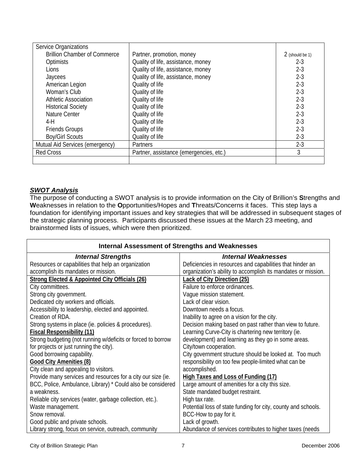| Service Organizations               |                                         |                 |
|-------------------------------------|-----------------------------------------|-----------------|
| <b>Brillion Chamber of Commerce</b> | Partner, promotion, money               | 2 (should be 1) |
| <b>Optimists</b>                    | Quality of life, assistance, money      | $2 - 3$         |
| Lions                               | Quality of life, assistance, money      | $2-3$           |
| Jaycees                             | Quality of life, assistance, money      | $2-3$           |
| American Legion                     | Quality of life                         | $2 - 3$         |
| Woman's Club                        | Quality of life                         | $2 - 3$         |
| <b>Athletic Association</b>         | Quality of life                         | $2-3$           |
| <b>Historical Society</b>           | Quality of life                         | $2 - 3$         |
| Nature Center                       | Quality of life                         | $2-3$           |
| $4-H$                               | Quality of life                         | $2 - 3$         |
| <b>Friends Groups</b>               | Quality of life                         | $2 - 3$         |
| <b>Boy/Girl Scouts</b>              | Quality of life                         | $2-3$           |
| Mutual Aid Services (emergency)     | <b>Partners</b>                         | $2 - 3$         |
| <b>Red Cross</b>                    | Partner, assistance (emergencies, etc.) | 3               |
|                                     |                                         |                 |

# *SWOT Analysis*

The purpose of conducting a SWOT analysis is to provide information on the City of Brillion's **S**trengths and **W**eaknesses in relation to the **O**pportunities/Hopes and **T**hreats/Concerns it faces. This step lays a foundation for identifying important issues and key strategies that will be addressed in subsequent stages of the strategic planning process. Participants discussed these issues at the March 23 meeting, and brainstormed lists of issues, which were then prioritized.

| <b>Internal Assessment of Strengths and Weaknesses</b>       |                                                               |  |
|--------------------------------------------------------------|---------------------------------------------------------------|--|
| <b>Internal Strengths</b>                                    | <b>Internal Weaknesses</b>                                    |  |
| Resources or capabilities that help an organization          | Deficiencies in resources and capabilities that hinder an     |  |
| accomplish its mandates or mission.                          | organization's ability to accomplish its mandates or mission. |  |
| Strong Elected & Appointed City Officials (26)               | <b>Lack of City Direction (25)</b>                            |  |
| City committees.                                             | Failure to enforce ordinances.                                |  |
| Strong city government.                                      | Vague mission statement.                                      |  |
| Dedicated city workers and officials.                        | Lack of clear vision.                                         |  |
| Accessibility to leadership, elected and appointed.          | Downtown needs a focus.                                       |  |
| Creation of RDA.                                             | Inability to agree on a vision for the city.                  |  |
| Strong systems in place (ie. policies & procedures).         | Decision making based on past rather than view to future.     |  |
| <b>Fiscal Responsibility (11)</b>                            | Learning Curve-City is chartering new territory (ie.          |  |
| Strong budgeting (not running w/deficits or forced to borrow | development) and learning as they go in some areas.           |  |
| for projects or just running the city).                      | City/town cooperation.                                        |  |
| Good borrowing capability.                                   | City government structure should be looked at. Too much       |  |
| <b>Good City Amenities (8)</b>                               | responsibility on too few people-limited what can be          |  |
| City clean and appealing to visitors.                        | accomplished.                                                 |  |
| Provide many services and resources for a city our size (ie. | High Taxes and Loss of Funding (17)                           |  |
| BCC, Police, Ambulance, Library) * Could also be considered  | Large amount of amenities for a city this size.               |  |
| a weakness.                                                  | State mandated budget restraint.                              |  |
| Reliable city services (water, garbage collection, etc.).    | High tax rate.                                                |  |
| Waste management.                                            | Potential loss of state funding for city, county and schools. |  |
| Snow removal.                                                | BCC-How to pay for it.                                        |  |
| Good public and private schools.                             | Lack of growth.                                               |  |
| Library strong, focus on service, outreach, community        | Abundance of services contributes to higher taxes (needs      |  |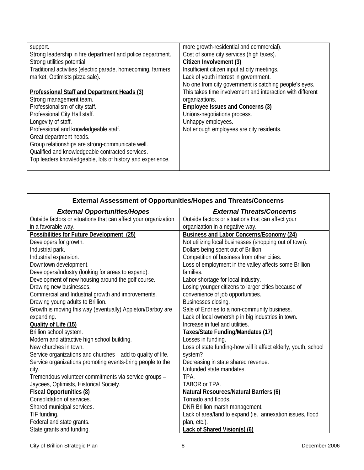| support.<br>Strong leadership in fire department and police department.<br>Strong utilities potential.<br>Traditional activities (electric parade, homecoming, farmers<br>market, Optimists pizza sale).                                                                                                                                                                                                   | more growth-residential and commercial).<br>Cost of some city services (high taxes).<br>Citizen Involvement (3)<br>Insufficient citizen input at city meetings.<br>Lack of youth interest in government.                  |
|------------------------------------------------------------------------------------------------------------------------------------------------------------------------------------------------------------------------------------------------------------------------------------------------------------------------------------------------------------------------------------------------------------|---------------------------------------------------------------------------------------------------------------------------------------------------------------------------------------------------------------------------|
|                                                                                                                                                                                                                                                                                                                                                                                                            | No one from city government is catching people's eyes.                                                                                                                                                                    |
| Professional Staff and Department Heads (3)<br>Strong management team.<br>Professionalism of city staff.<br>Professional City Hall staff.<br>Longevity of staff.<br>Professional and knowledgeable staff.<br>Great department heads.<br>Group relationships are strong-communicate well.<br>Qualified and knowledgeable contracted services.<br>Top leaders knowledgeable, lots of history and experience. | This takes time involvement and interaction with different<br>organizations.<br><b>Employee Issues and Concerns (3)</b><br>Unions-negotiations process.<br>Unhappy employees.<br>Not enough employees are city residents. |

| <b>External Assessment of Opportunities/Hopes and Threats/Concerns</b> |                                                                 |  |
|------------------------------------------------------------------------|-----------------------------------------------------------------|--|
| <b>External Opportunities/Hopes</b>                                    | <b>External Threats/Concerns</b>                                |  |
| Outside factors or situations that can affect your organization        | Outside factors or situations that can affect your              |  |
| in a favorable way.                                                    | organization in a negative way.                                 |  |
| Possibilities for Future Development (25)                              | <b>Business and Labor Concerns/Economy (24)</b>                 |  |
| Developers for growth.                                                 | Not utilizing local businesses (shopping out of town).          |  |
| Industrial park.                                                       | Dollars being spent out of Brillion.                            |  |
| Industrial expansion.                                                  | Competition of business from other cities.                      |  |
| Downtown development.                                                  | Loss of employment in the valley affects some Brillion          |  |
| Developers/Industry (looking for areas to expand).                     | families.                                                       |  |
| Development of new housing around the golf course.                     | Labor shortage for local industry.                              |  |
| Drawing new businesses.                                                | Losing younger citizens to larger cities because of             |  |
| Commercial and Industrial growth and improvements.                     | convenience of job opportunities.                               |  |
| Drawing young adults to Brillion.                                      | Businesses closing.                                             |  |
| Growth is moving this way (eventually) Appleton/Darboy are             | Sale of Endries to a non-community business.                    |  |
| expanding.                                                             | Lack of local ownership in big industries in town.              |  |
| Quality of Life (15)                                                   | Increase in fuel and utilities.                                 |  |
| Brillion school system.                                                | Taxes/State Funding/Mandates (17)                               |  |
| Modern and attractive high school building.                            | Losses in funding.                                              |  |
| New churches in town.                                                  | Loss of state funding-how will it affect elderly, youth, school |  |
| Service organizations and churches – add to quality of life.           | system?                                                         |  |
| Service organizations promoting events-bring people to the             | Decreasing in state shared revenue.                             |  |
| city.                                                                  | Unfunded state mandates.                                        |  |
| Tremendous volunteer commitments via service groups -                  | TPA.                                                            |  |
| Jaycees, Optimists, Historical Society.                                | TABOR or TPA.                                                   |  |
| <b>Fiscal Opportunities (8)</b>                                        | <b>Natural Resources/Natural Barriers (6)</b>                   |  |
| Consolidation of services.                                             | Tornado and floods.                                             |  |
| Shared municipal services.                                             | DNR Brillion marsh management.                                  |  |
| TIF funding.                                                           | Lack of area/land to expand (ie. annexation issues, flood       |  |
| Federal and state grants.                                              | plan, etc.).                                                    |  |
| State grants and funding.                                              | Lack of Shared Vision(s) (6)                                    |  |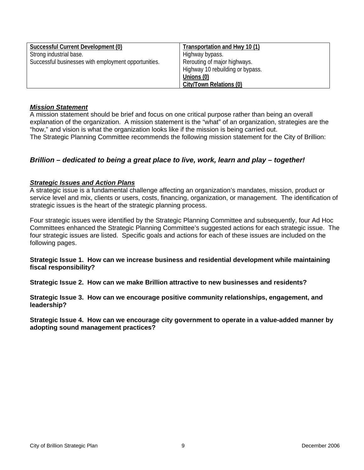| Successful Current Development (0)                   | Transportation and Hwy 10 (1)    |
|------------------------------------------------------|----------------------------------|
| Strong industrial base.                              | Highway bypass.                  |
| Successful businesses with employment opportunities. | Rerouting of major highways.     |
|                                                      | Highway 10 rebuilding or bypass. |
|                                                      | Unions (0)                       |
|                                                      | City/Town Relations (0)          |

### *Mission Statement*

A mission statement should be brief and focus on one critical purpose rather than being an overall explanation of the organization. A mission statement is the "what" of an organization, strategies are the "how," and vision is what the organization looks like if the mission is being carried out. The Strategic Planning Committee recommends the following mission statement for the City of Brillion:

# *Brillion – dedicated to being a great place to live, work, learn and play – together!*

### *Strategic Issues and Action Plans*

A strategic issue is a fundamental challenge affecting an organization's mandates, mission, product or service level and mix, clients or users, costs, financing, organization, or management. The identification of strategic issues is the heart of the strategic planning process.

Four strategic issues were identified by the Strategic Planning Committee and subsequently, four Ad Hoc Committees enhanced the Strategic Planning Committee's suggested actions for each strategic issue. The four strategic issues are listed. Specific goals and actions for each of these issues are included on the following pages.

#### **Strategic Issue 1. How can we increase business and residential development while maintaining fiscal responsibility?**

**Strategic Issue 2. How can we make Brillion attractive to new businesses and residents?** 

**Strategic Issue 3. How can we encourage positive community relationships, engagement, and leadership?**

**Strategic Issue 4. How can we encourage city government to operate in a value-added manner by adopting sound management practices?**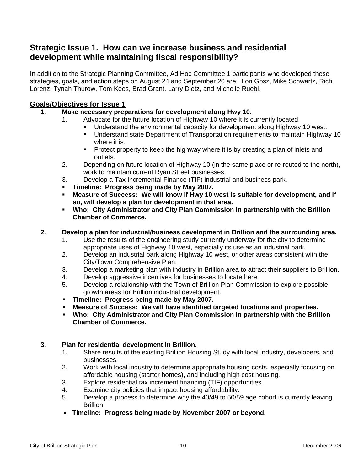# **Strategic Issue 1. How can we increase business and residential development while maintaining fiscal responsibility?**

In addition to the Strategic Planning Committee, Ad Hoc Committee 1 participants who developed these strategies, goals, and action steps on August 24 and September 26 are: Lori Gosz, Mike Schwartz, Rich Lorenz, Tynah Thurow, Tom Kees, Brad Grant, Larry Dietz, and Michelle Ruebl.

# **Goals/Objectives for Issue 1**

- **1. Make necessary preparations for development along Hwy 10.** 
	- 1. Advocate for the future location of Highway 10 where it is currently located.
		- Understand the environmental capacity for development along Highway 10 west.<br>■ Understand state Department of Transportation requirements to maintain Highwa
			- Understand state Department of Transportation requirements to maintain Highway 10 where it is.
			- **Protect property to keep the highway where it is by creating a plan of inlets and** outlets.
	- 2. Depending on future location of Highway 10 (in the same place or re-routed to the north), work to maintain current Ryan Street businesses.
	- 3. Develop a Tax Incremental Finance (TIF) industrial and business park.
	- **Timeline: Progress being made by May 2007.**
	- **Measure of Success: We will know if Hwy 10 west is suitable for development, and if so, will develop a plan for development in that area.**
	- **Who: City Administrator and City Plan Commission in partnership with the Brillion Chamber of Commerce.**

# **2. Develop a plan for industrial/business development in Brillion and the surrounding area.**

- 1. Use the results of the engineering study currently underway for the city to determine appropriate uses of Highway 10 west, especially its use as an industrial park.
- 2. Develop an industrial park along Highway 10 west, or other areas consistent with the City/Town Comprehensive Plan.
- 3. Develop a marketing plan with industry in Brillion area to attract their suppliers to Brillion.
- 4. Develop aggressive incentives for businesses to locate here.
- 5. Develop a relationship with the Town of Brillion Plan Commission to explore possible growth areas for Brillion industrial development.
- **Timeline: Progress being made by May 2007.**
- **Measure of Success: We will have identified targeted locations and properties.**
- **Who: City Administrator and City Plan Commission in partnership with the Brillion Chamber of Commerce.**

# **3. Plan for residential development in Brillion.**

- 1. Share results of the existing Brillion Housing Study with local industry, developers, and businesses.
- 2. Work with local industry to determine appropriate housing costs, especially focusing on affordable housing (starter homes), and including high cost housing.
- 3. Explore residential tax increment financing (TIF) opportunities.
- 4. Examine city policies that impact housing affordability.
- 5. Develop a process to determine why the 40/49 to 50/59 age cohort is currently leaving Brillion.
- **Timeline: Progress being made by November 2007 or beyond.**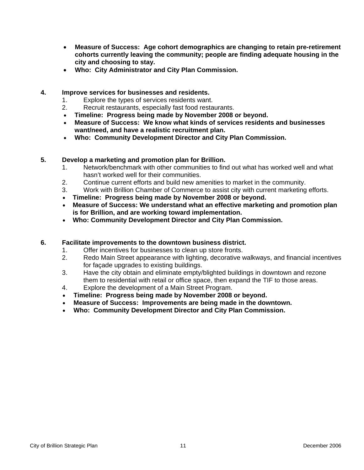- **Measure of Success: Age cohort demographics are changing to retain pre-retirement cohorts currently leaving the community; people are finding adequate housing in the city and choosing to stay.**
- **Who: City Administrator and City Plan Commission.**

### **4. Improve services for businesses and residents.**

- 1. Explore the types of services residents want.
- 2. Recruit restaurants, especially fast food restaurants.
- **Timeline: Progress being made by November 2008 or beyond.**
- **Measure of Success: We know what kinds of services residents and businesses want/need, and have a realistic recruitment plan.**
- **Who: Community Development Director and City Plan Commission.**

# **5. Develop a marketing and promotion plan for Brillion.**

- 1. Network/benchmark with other communities to find out what has worked well and what hasn't worked well for their communities.
- 2. Continue current efforts and build new amenities to market in the community.
- 3. Work with Brillion Chamber of Commerce to assist city with current marketing efforts.
- **Timeline: Progress being made by November 2008 or beyond.**
- **Measure of Success: We understand what an effective marketing and promotion plan is for Brillion, and are working toward implementation.**
- **Who: Community Development Director and City Plan Commission.**

# **6. Facilitate improvements to the downtown business district.**

- 1. Offer incentives for businesses to clean up store fronts.
- 2. Redo Main Street appearance with lighting, decorative walkways, and financial incentives for façade upgrades to existing buildings.
- 3. Have the city obtain and eliminate empty/blighted buildings in downtown and rezone them to residential with retail or office space, then expand the TIF to those areas.
- 4. Explore the development of a Main Street Program.
- **Timeline: Progress being made by November 2008 or beyond.**
- **Measure of Success: Improvements are being made in the downtown.**
- **Who: Community Development Director and City Plan Commission.**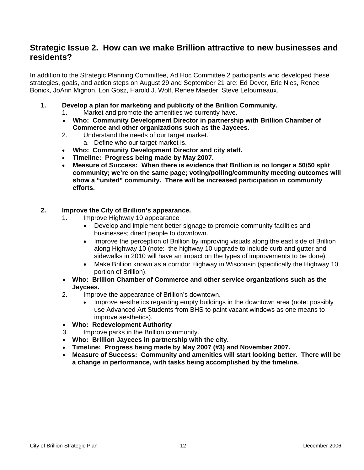# **Strategic Issue 2. How can we make Brillion attractive to new businesses and residents?**

In addition to the Strategic Planning Committee, Ad Hoc Committee 2 participants who developed these strategies, goals, and action steps on August 29 and September 21 are: Ed Dever, Eric Nies, Renee Bonick, JoAnn Mignon, Lori Gosz, Harold J. Wolf, Renee Maeder, Steve Letourneaux.

- **1. Develop a plan for marketing and publicity of the Brillion Community.** 
	- 1. Market and promote the amenities we currently have.
	- **Who: Community Development Director in partnership with Brillion Chamber of Commerce and other organizations such as the Jaycees.**
	- 2. Understand the needs of our target market. a. Define who our target market is.
	- **Who: Community Development Director and city staff.**
	- **Timeline: Progress being made by May 2007.**
	- **Measure of Success: When there is evidence that Brillion is no longer a 50/50 split community; we're on the same page; voting/polling/community meeting outcomes will show a "united" community. There will be increased participation in community efforts.**

### **2. Improve the City of Brillion's appearance.**

- 1. Improve Highway 10 appearance
	- Develop and implement better signage to promote community facilities and businesses; direct people to downtown.
	- Improve the perception of Brillion by improving visuals along the east side of Brillion along Highway 10 (note: the highway 10 upgrade to include curb and gutter and sidewalks in 2010 will have an impact on the types of improvements to be done).
	- Make Brillion known as a corridor Highway in Wisconsin (specifically the Highway 10 portion of Brillion).
- **Who: Brillion Chamber of Commerce and other service organizations such as the Jaycees.**
- 2. Improve the appearance of Brillion's downtown.
	- Improve aesthetics regarding empty buildings in the downtown area (note: possibly use Advanced Art Students from BHS to paint vacant windows as one means to improve aesthetics).
- **Who: Redevelopment Authority**
- 3. Improve parks in the Brillion community.
- **Who: Brillion Jaycees in partnership with the city.**
- **Timeline: Progress being made by May 2007 (#3) and November 2007.**
- **Measure of Success: Community and amenities will start looking better. There will be a change in performance, with tasks being accomplished by the timeline.**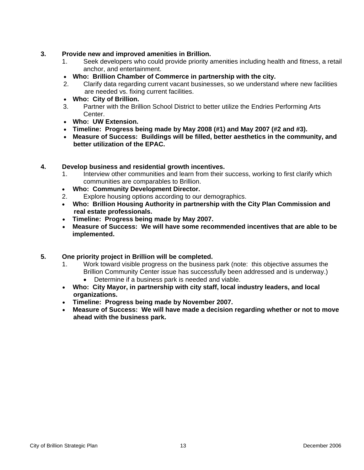### **3. Provide new and improved amenities in Brillion.**

- 1. Seek developers who could provide priority amenities including health and fitness, a retail anchor, and entertainment.
- **Who: Brillion Chamber of Commerce in partnership with the city.**
- 2. Clarify data regarding current vacant businesses, so we understand where new facilities are needed vs. fixing current facilities.
- **Who: City of Brillion.**
- 3. Partner with the Brillion School District to better utilize the Endries Performing Arts Center.
- **Who: UW Extension.**
- **Timeline: Progress being made by May 2008 (#1) and May 2007 (#2 and #3).**
- **Measure of Success: Buildings will be filled, better aesthetics in the community, and better utilization of the EPAC.**
- **4. Develop business and residential growth incentives.** 
	- 1. Interview other communities and learn from their success, working to first clarify which communities are comparables to Brillion.
	- **Who: Community Development Director.**
	- 2. Explore housing options according to our demographics.
	- **Who: Brillion Housing Authority in partnership with the City Plan Commission and real estate professionals.**
	- **Timeline: Progress being made by May 2007.**
	- **Measure of Success: We will have some recommended incentives that are able to be implemented.**
- **5. One priority project in Brillion will be completed.** 
	- 1. Work toward visible progress on the business park (note: this objective assumes the Brillion Community Center issue has successfully been addressed and is underway.)
		- Determine if a business park is needed and viable.
	- **Who: City Mayor, in partnership with city staff, local industry leaders, and local organizations.**
	- **Timeline: Progress being made by November 2007.**
	- **Measure of Success: We will have made a decision regarding whether or not to move ahead with the business park.**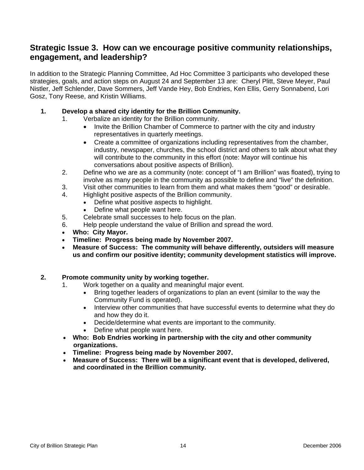# **Strategic Issue 3. How can we encourage positive community relationships, engagement, and leadership?**

In addition to the Strategic Planning Committee, Ad Hoc Committee 3 participants who developed these strategies, goals, and action steps on August 24 and September 13 are: Cheryl Plitt, Steve Meyer, Paul Nistler, Jeff Schlender, Dave Sommers, Jeff Vande Hey, Bob Endries, Ken Ellis, Gerry Sonnabend, Lori Gosz, Tony Reese, and Kristin Williams.

# **1. Develop a shared city identity for the Brillion Community.**

- 1. Verbalize an identity for the Brillion community.
	- Invite the Brillion Chamber of Commerce to partner with the city and industry representatives in quarterly meetings.
	- Create a committee of organizations including representatives from the chamber, industry, newspaper, churches, the school district and others to talk about what they will contribute to the community in this effort (note: Mayor will continue his conversations about positive aspects of Brillion).
- 2. Define who we are as a community (note: concept of "I am Brillion" was floated), trying to involve as many people in the community as possible to define and "live" the definition.
- 3. Visit other communities to learn from them and what makes them "good" or desirable.
- 4. Highlight positive aspects of the Brillion community.
	- Define what positive aspects to highlight.
	- Define what people want here.
- 5. Celebrate small successes to help focus on the plan.
- 6. Help people understand the value of Brillion and spread the word.
- **Who: City Mayor.**
- **Timeline: Progress being made by November 2007.**
- **Measure of Success: The community will behave differently, outsiders will measure us and confirm our positive identity; community development statistics will improve.**

# **2. Promote community unity by working together.**

- 1. Work together on a quality and meaningful major event.
	- Bring together leaders of organizations to plan an event (similar to the way the Community Fund is operated).
	- Interview other communities that have successful events to determine what they do and how they do it.
	- Decide/determine what events are important to the community.
	- Define what people want here.
- **Who: Bob Endries working in partnership with the city and other community organizations.**
- **Timeline: Progress being made by November 2007.**
- **Measure of Success: There will be a significant event that is developed, delivered, and coordinated in the Brillion community.**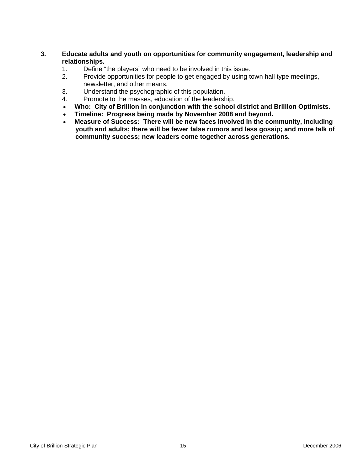### **3. Educate adults and youth on opportunities for community engagement, leadership and relationships.**

- 1. Define "the players" who need to be involved in this issue.
- 2. Provide opportunities for people to get engaged by using town hall type meetings, newsletter, and other means.
- 3. Understand the psychographic of this population.
- 4. Promote to the masses, education of the leadership.
- **Who: City of Brillion in conjunction with the school district and Brillion Optimists.**
- **Timeline: Progress being made by November 2008 and beyond.**
- **Measure of Success: There will be new faces involved in the community, including youth and adults; there will be fewer false rumors and less gossip; and more talk of community success; new leaders come together across generations.**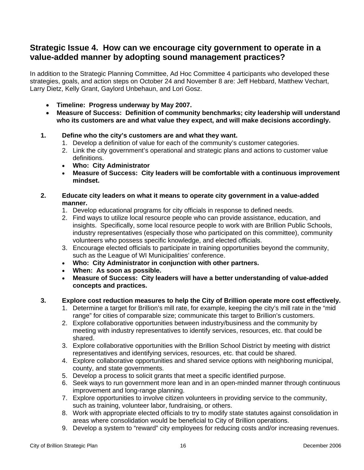# **Strategic Issue 4. How can we encourage city government to operate in a value-added manner by adopting sound management practices?**

In addition to the Strategic Planning Committee, Ad Hoc Committee 4 participants who developed these strategies, goals, and action steps on October 24 and November 8 are: Jeff Hebbard, Matthew Vechart, Larry Dietz, Kelly Grant, Gaylord Unbehaun, and Lori Gosz.

- **Timeline: Progress underway by May 2007.**
- **Measure of Success: Definition of community benchmarks; city leadership will understand who its customers are and what value they expect, and will make decisions accordingly.**

# **1. Define who the city's customers are and what they want.**

- 1. Develop a definition of value for each of the community's customer categories.
- 2. Link the city government's operational and strategic plans and actions to customer value definitions.
- **Who: City Administrator**
- **Measure of Success: City leaders will be comfortable with a continuous improvement mindset.**

### **2. Educate city leaders on what it means to operate city government in a value-added manner.**

- 1. Develop educational programs for city officials in response to defined needs.
- 2. Find ways to utilize local resource people who can provide assistance, education, and insights. Specifically, some local resource people to work with are Brillion Public Schools, industry representatives (especially those who participated on this committee), community volunteers who possess specific knowledge, and elected officials.
- 3. Encourage elected officials to participate in training opportunities beyond the community, such as the League of WI Municipalities' conference.
- **Who: City Administrator in conjunction with other partners.**
- **When: As soon as possible.**
- **Measure of Success: City leaders will have a better understanding of value-added concepts and practices.**

# **3. Explore cost reduction measures to help the City of Brillion operate more cost effectively.**

- 1. Determine a target for Brillion's mill rate, for example, keeping the city's mill rate in the "mid range" for cities of comparable size; communicate this target to Brillion's customers.
- 2. Explore collaborative opportunities between industry/business and the community by meeting with industry representatives to identify services, resources, etc. that could be shared.
- 3. Explore collaborative opportunities with the Brillion School District by meeting with district representatives and identifying services, resources, etc. that could be shared.
- 4. Explore collaborative opportunities and shared service options with neighboring municipal, county, and state governments.
- 5. Develop a process to solicit grants that meet a specific identified purpose.
- 6. Seek ways to run government more lean and in an open-minded manner through continuous improvement and long-range planning.
- 7. Explore opportunities to involve citizen volunteers in providing service to the community, such as training, volunteer labor, fundraising, or others.
- 8. Work with appropriate elected officials to try to modify state statutes against consolidation in areas where consolidation would be beneficial to City of Brillion operations.
- 9. Develop a system to "reward" city employees for reducing costs and/or increasing revenues.